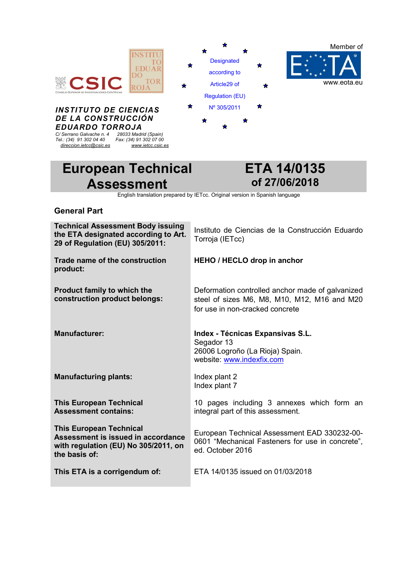

# **European Technical Assessment**

# **ETA 14/0135 of 27/06/2018**

English translation prepared by IETcc. Original version in Spanish language

### **General Part**

| <b>Technical Assessment Body issuing</b><br>the ETA designated according to Art.<br>29 of Regulation (EU) 305/2011:           | Instituto de Ciencias de la Construcción Eduardo<br>Torroja (IETcc)                                                                 |
|-------------------------------------------------------------------------------------------------------------------------------|-------------------------------------------------------------------------------------------------------------------------------------|
| Trade name of the construction<br>product:                                                                                    | <b>HEHO / HECLO drop in anchor</b>                                                                                                  |
| <b>Product family to which the</b><br>construction product belongs:                                                           | Deformation controlled anchor made of galvanized<br>steel of sizes M6, M8, M10, M12, M16 and M20<br>for use in non-cracked concrete |
| <b>Manufacturer:</b>                                                                                                          | Index - Técnicas Expansivas S.L.<br>Segador 13<br>26006 Logroño (La Rioja) Spain.<br>website: www.indexfix.com                      |
| <b>Manufacturing plants:</b>                                                                                                  | Index plant 2<br>Index plant 7                                                                                                      |
| <b>This European Technical</b><br><b>Assessment contains:</b>                                                                 | 10 pages including 3 annexes which form an<br>integral part of this assessment.                                                     |
| <b>This European Technical</b><br>Assessment is issued in accordance<br>with regulation (EU) No 305/2011, on<br>the basis of: | European Technical Assessment EAD 330232-00-<br>0601 "Mechanical Fasteners for use in concrete",<br>ed. October 2016                |
| This ETA is a corrigendum of:                                                                                                 | ETA 14/0135 issued on 01/03/2018                                                                                                    |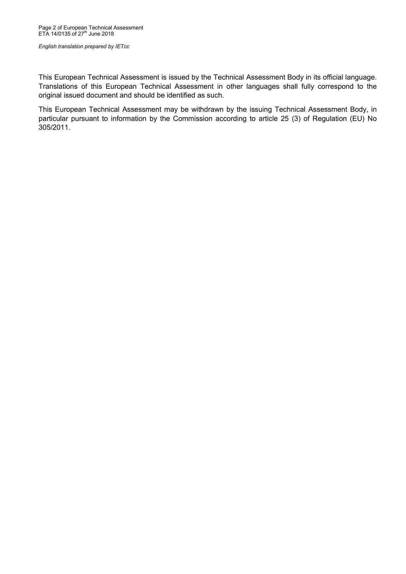This European Technical Assessment is issued by the Technical Assessment Body in its official language. Translations of this European Technical Assessment in other languages shall fully correspond to the original issued document and should be identified as such.

This European Technical Assessment may be withdrawn by the issuing Technical Assessment Body, in particular pursuant to information by the Commission according to article 25 (3) of Regulation (EU) No 305/2011.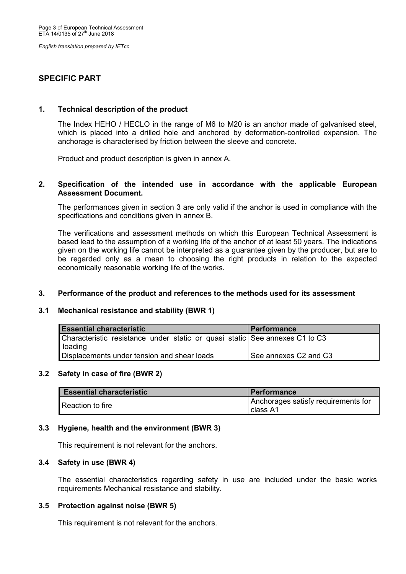## **SPECIFIC PART**

#### **1. Technical description of the product**

The Index HEHO / HECLO in the range of M6 to M20 is an anchor made of galvanised steel, which is placed into a drilled hole and anchored by deformation-controlled expansion. The anchorage is characterised by friction between the sleeve and concrete.

Product and product description is given in annex A.

#### **2. Specification of the intended use in accordance with the applicable European Assessment Document.**

The performances given in section 3 are only valid if the anchor is used in compliance with the specifications and conditions given in annex B.

The verifications and assessment methods on which this European Technical Assessment is based lead to the assumption of a working life of the anchor of at least 50 years. The indications given on the working life cannot be interpreted as a guarantee given by the producer, but are to be regarded only as a mean to choosing the right products in relation to the expected economically reasonable working life of the works.

#### **3. Performance of the product and references to the methods used for its assessment**

#### **3.1 Mechanical resistance and stability (BWR 1)**

| <b>Essential characteristic</b>                                                        | <b>Performance</b>    |
|----------------------------------------------------------------------------------------|-----------------------|
| Characteristic resistance under static or quasi static See annexes C1 to C3<br>loading |                       |
| Displacements under tension and shear loads                                            | See annexes C2 and C3 |

#### **3.2 Safety in case of fire (BWR 2)**

| <b>Essential characteristic</b> | <b>Performance</b>                              |
|---------------------------------|-------------------------------------------------|
| Reaction to fire                | Anchorages satisfy requirements for<br>class A1 |

#### **3.3 Hygiene, health and the environment (BWR 3)**

This requirement is not relevant for the anchors.

#### **3.4 Safety in use (BWR 4)**

The essential characteristics regarding safety in use are included under the basic works requirements Mechanical resistance and stability.

#### **3.5 Protection against noise (BWR 5)**

This requirement is not relevant for the anchors.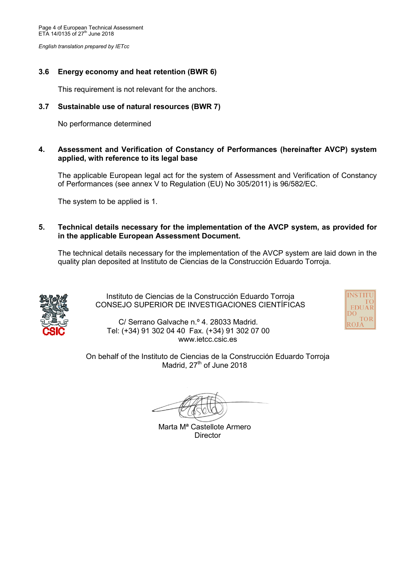## **3.6 Energy economy and heat retention (BWR 6)**

This requirement is not relevant for the anchors.

## **3.7 Sustainable use of natural resources (BWR 7)**

No performance determined

## **4. Assessment and Verification of Constancy of Performances (hereinafter AVCP) system applied, with reference to its legal base**

The applicable European legal act for the system of Assessment and Verification of Constancy of Performances (see annex V to Regulation (EU) No 305/2011) is 96/582/EC.

The system to be applied is 1.

**5. Technical details necessary for the implementation of the AVCP system, as provided for in the applicable European Assessment Document.** 

The technical details necessary for the implementation of the AVCP system are laid down in the quality plan deposited at Instituto de Ciencias de la Construcción Eduardo Torroja.



 Instituto de Ciencias de la Construcción Eduardo Torroja CONSEJO SUPERIOR DE INVESTIGACIONES CIENTÍFICAS



C/ Serrano Galvache n.º 4. 28033 Madrid. Tel: (+34) 91 302 04 40 Fax. (+34) 91 302 07 00 www.ietcc.csic.es

On behalf of the Instituto de Ciencias de la Construcción Eduardo Torroja Madrid, 27<sup>th</sup> of June 2018

Marta Mª Castellote Armero **Director**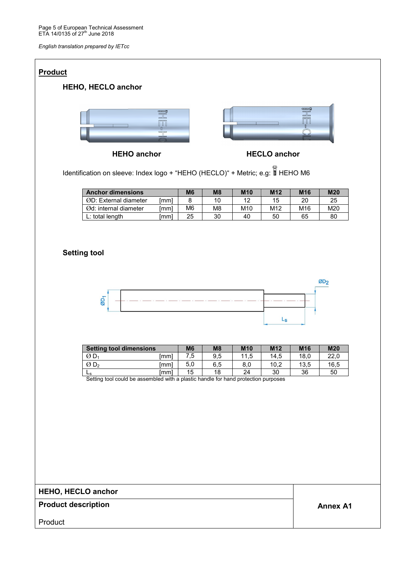| <b>Product</b>             |                                                                                               |                                                                                                                                                                                                                                                                                                                                                                                                                                                  |                                   |                       |                 |                     |                                                           |                 |  |  |  |  |
|----------------------------|-----------------------------------------------------------------------------------------------|--------------------------------------------------------------------------------------------------------------------------------------------------------------------------------------------------------------------------------------------------------------------------------------------------------------------------------------------------------------------------------------------------------------------------------------------------|-----------------------------------|-----------------------|-----------------|---------------------|-----------------------------------------------------------|-----------------|--|--|--|--|
|                            | <b>HEHO, HECLO anchor</b>                                                                     |                                                                                                                                                                                                                                                                                                                                                                                                                                                  |                                   |                       |                 |                     |                                                           |                 |  |  |  |  |
|                            |                                                                                               | $\begin{tabular}{ c c c c } \hline & \multicolumn{1}{ c }{\multicolumn{1}{ c }{\multicolumn{1}{ c }{\multicolumn{1}{ c }{\multicolumn{1}{ c }{\multicolumn{1}{ c }{\multicolumn{1}{ c }{\multicolumn{1}{c}}}}}}\\ \hline & \multicolumn{1}{ c }{\multicolumn{1}{ c }{\multicolumn{1}{ c }{\multicolumn{1}{ c }{\multicolumn{1}{ c }{\multicolumn{1}{ c }{\multicolumn{1}{ c }{\multicolumn{1}{ c }{\multicolumn{1}{ c }{\multicolumn{1}{ $<br>ŚС |                                   |                       |                 |                     | $\overline{\mathbb{H}}$<br>$\prod\limits_0$<br>$\bigcirc$ |                 |  |  |  |  |
|                            | <b>HEHO anchor</b>                                                                            |                                                                                                                                                                                                                                                                                                                                                                                                                                                  |                                   |                       |                 | <b>HECLO anchor</b> |                                                           |                 |  |  |  |  |
|                            | Identification on sleeve: Index logo + "HEHO (HECLO)" + Metric; e.g: FHEHO M6                 |                                                                                                                                                                                                                                                                                                                                                                                                                                                  |                                   |                       |                 |                     |                                                           |                 |  |  |  |  |
|                            | <b>Anchor dimensions</b>                                                                      |                                                                                                                                                                                                                                                                                                                                                                                                                                                  | M <sub>6</sub>                    | M8                    | <b>M10</b>      | M12                 | M16                                                       | <b>M20</b>      |  |  |  |  |
|                            | ØD: External diameter                                                                         | [mm]                                                                                                                                                                                                                                                                                                                                                                                                                                             | 8                                 | 10                    | 12              | 15                  | 20                                                        | 25              |  |  |  |  |
|                            | Ød: internal diameter<br>L: total length                                                      | [mm]<br>[mm]                                                                                                                                                                                                                                                                                                                                                                                                                                     | M <sub>6</sub><br>$\overline{25}$ | M8<br>$\overline{30}$ | M10<br>40       | M12<br>50           | M16<br>65                                                 | M20<br>80       |  |  |  |  |
|                            | <b>Setting tool</b>                                                                           |                                                                                                                                                                                                                                                                                                                                                                                                                                                  |                                   |                       |                 |                     |                                                           | ØD <sub>2</sub> |  |  |  |  |
|                            | $\overline{\omega}$                                                                           |                                                                                                                                                                                                                                                                                                                                                                                                                                                  |                                   |                       |                 |                     |                                                           |                 |  |  |  |  |
|                            |                                                                                               |                                                                                                                                                                                                                                                                                                                                                                                                                                                  |                                   |                       |                 |                     |                                                           |                 |  |  |  |  |
|                            |                                                                                               |                                                                                                                                                                                                                                                                                                                                                                                                                                                  |                                   |                       |                 | $L_{\rm S}$         |                                                           |                 |  |  |  |  |
|                            | <b>Setting tool dimensions</b>                                                                |                                                                                                                                                                                                                                                                                                                                                                                                                                                  | M <sub>6</sub>                    | M8                    | M10             | M12                 | M16                                                       | <b>M20</b>      |  |  |  |  |
|                            | $ØD_1$                                                                                        | [mm]                                                                                                                                                                                                                                                                                                                                                                                                                                             | 7,5                               | 9,5                   | 11,5            | 14,5                | 18,0                                                      | 22,0            |  |  |  |  |
|                            | $\overline{O}$ D <sub>2</sub>                                                                 | [mm]                                                                                                                                                                                                                                                                                                                                                                                                                                             | 5,0                               | 6,5                   | $_{\rm 8,0}$    | 10,2                | 13,5                                                      | 16,5            |  |  |  |  |
|                            | $L_{s}$<br>Setting tool could be assembled with a plastic handle for hand protection purposes | [mm]                                                                                                                                                                                                                                                                                                                                                                                                                                             | $\overline{15}$                   | $\overline{18}$       | $\overline{24}$ | $\overline{30}$     | 36                                                        | 50              |  |  |  |  |
|                            |                                                                                               |                                                                                                                                                                                                                                                                                                                                                                                                                                                  |                                   |                       |                 |                     |                                                           |                 |  |  |  |  |
| <b>HEHO, HECLO anchor</b>  |                                                                                               |                                                                                                                                                                                                                                                                                                                                                                                                                                                  |                                   |                       |                 |                     |                                                           |                 |  |  |  |  |
| <b>Product description</b> |                                                                                               |                                                                                                                                                                                                                                                                                                                                                                                                                                                  |                                   |                       |                 |                     |                                                           | <b>Annex A1</b> |  |  |  |  |
| Product                    |                                                                                               |                                                                                                                                                                                                                                                                                                                                                                                                                                                  |                                   |                       |                 |                     |                                                           |                 |  |  |  |  |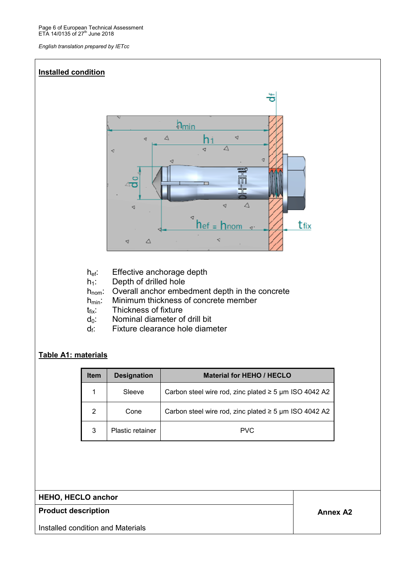

- h<sub>ef</sub>: Effective anchorage depth
- $h_1$ : Depth of drilled hole
- $h_{nom}$ : Overall anchor embedment depth in the concrete  $h_{min}$ . Minimum thickness of concrete member
- Minimum thickness of concrete member
- $t_{fix}$ : Thickness of fixture
- $d_0$ : Nominal diameter of drill bit
- $d_f$ : Fixture clearance hole diameter

## **Table A1: materials**

| <b>Item</b> | <b>Designation</b>      | <b>Material for HEHO / HECLO</b>                           |
|-------------|-------------------------|------------------------------------------------------------|
|             | Sleeve                  | Carbon steel wire rod, zinc plated $\geq$ 5 µm ISO 4042 A2 |
| 2           | Cone                    | Carbon steel wire rod, zinc plated $\geq$ 5 µm ISO 4042 A2 |
| 3           | <b>Plastic retainer</b> | <b>PVC</b>                                                 |

## **HEHO, HECLO anchor**

## **Product description Annex A2 Annex A2**

Installed condition and Materials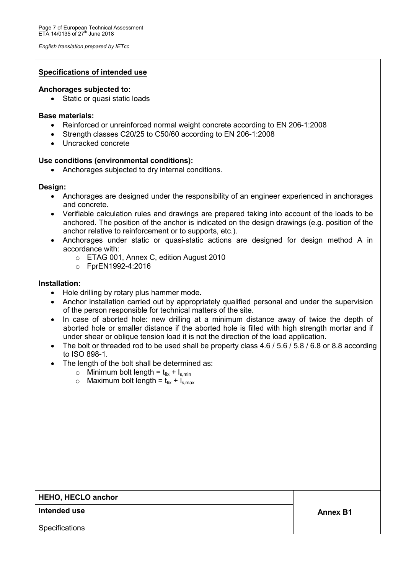#### **Specifications of intended use**

#### **Anchorages subjected to:**

• Static or quasi static loads

#### **Base materials:**

- Reinforced or unreinforced normal weight concrete according to EN 206-1:2008
- Strength classes C20/25 to C50/60 according to EN 206-1:2008
- Uncracked concrete

#### **Use conditions (environmental conditions):**

• Anchorages subjected to dry internal conditions.

#### **Design:**

- Anchorages are designed under the responsibility of an engineer experienced in anchorages and concrete.
- Verifiable calculation rules and drawings are prepared taking into account of the loads to be anchored. The position of the anchor is indicated on the design drawings (e.g. position of the anchor relative to reinforcement or to supports, etc.).
- Anchorages under static or quasi-static actions are designed for design method A in accordance with:
	- o ETAG 001, Annex C, edition August 2010
	- o FprEN1992-4:2016

#### **Installation:**

- Hole drilling by rotary plus hammer mode.
- Anchor installation carried out by appropriately qualified personal and under the supervision of the person responsible for technical matters of the site.
- In case of aborted hole: new drilling at a minimum distance away of twice the depth of aborted hole or smaller distance if the aborted hole is filled with high strength mortar and if under shear or oblique tension load it is not the direction of the load application.
- The bolt or threaded rod to be used shall be property class 4.6 / 5.6 / 5.8 / 6.8 or 8.8 according to ISO 898-1.
- The length of the bolt shall be determined as:
	- $\circ$  Minimum bolt length =  $t_{fix} + l_{s,min}$
	- $\circ$  Maximum bolt length =  $t_{fix} + I_{s,max}$

### **HEHO, HECLO anchor**

**Annex B1 Intended use** 

**Specifications**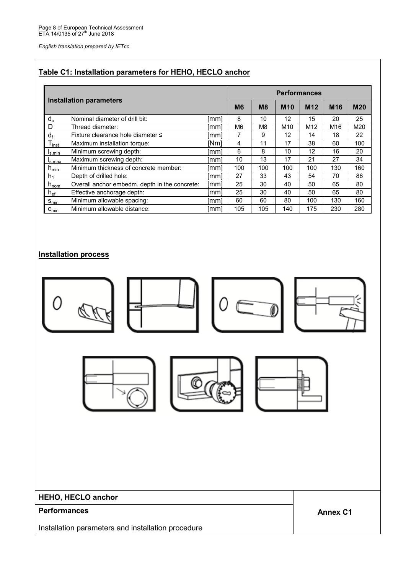## **Table C1: Installation parameters for HEHO, HECLO anchor**

|                          | <b>Installation parameters</b>                |      | <b>Performances</b> |                |            |                 |                 |            |  |
|--------------------------|-----------------------------------------------|------|---------------------|----------------|------------|-----------------|-----------------|------------|--|
|                          |                                               |      | M <sub>6</sub>      | M <sub>8</sub> | <b>M10</b> | M <sub>12</sub> | M <sub>16</sub> | <b>M20</b> |  |
| $d_{o}$                  | Nominal diameter of drill bit:                | lmml | 8                   | 10             | 12         | 15              | 20              | 25         |  |
| D                        | Thread diameter:                              | [mm] | M <sub>6</sub>      | M8             | M10        | M12             | M16             | M20        |  |
| $d_f$                    | Fixture clearance hole diameter ≤             | [mm] | 7                   | 9              | 12         | 14              | 18              | 22         |  |
| $T_{inst}$               | Maximum installation torque:                  | INml | 4                   | 11             | 17         | 38              | 60              | 100        |  |
| l <sub>s.min</sub>       | Minimum screwing depth:                       | [mm] | 6                   | 8              | 10         | 12              | 16              | 20         |  |
| I <sub>S.Max</sub>       | Maximum screwing depth:                       | lmml | 10                  | 13             | 17         | 21              | 27              | 34         |  |
| ${\sf h}_{\sf min}$      | Minimum thickness of concrete member:         | [mm] | 100                 | 100            | 100        | 100             | 130             | 160        |  |
| $h_1$                    | Depth of drilled hole:                        | [mm] | 27                  | 33             | 43         | 54              | 70              | 86         |  |
| $h_{\text{nom}}$         | Overall anchor embedm. depth in the concrete: | [mm] | 25                  | 30             | 40         | 50              | 65              | 80         |  |
| $\mathsf{h}_\mathsf{ef}$ | Effective anchorage depth:                    | [mm] | 25                  | 30             | 40         | 50              | 65              | 80         |  |
| $S_{min}$                | Minimum allowable spacing:                    | [mm] | 60                  | 60             | 80         | 100             | 130             | 160        |  |
| $c_{\min}$               | Minimum allowable distance:                   | [mm] | 105                 | 105            | 140        | 175             | 230             | 280        |  |

## **Installation process**

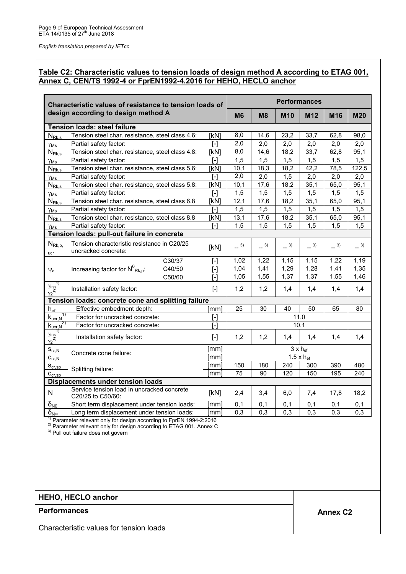### **Table C2: Characteristic values to tension loads of design method A according to ETAG 001, Annex C, CEN/TS 1992-4 or FprEN1992-4.2016 for HEHO, HECLO anchor**

| Characteristic values of resistance to tension loads of |                                                                    |                                                                                                                                                                                                                                                                                                                                                                                                                                                                                                                                                                                                                                                                                                                                                                                                                       | <b>Performances</b>        |                |            |                 |        |            |  |
|---------------------------------------------------------|--------------------------------------------------------------------|-----------------------------------------------------------------------------------------------------------------------------------------------------------------------------------------------------------------------------------------------------------------------------------------------------------------------------------------------------------------------------------------------------------------------------------------------------------------------------------------------------------------------------------------------------------------------------------------------------------------------------------------------------------------------------------------------------------------------------------------------------------------------------------------------------------------------|----------------------------|----------------|------------|-----------------|--------|------------|--|
|                                                         | design according to design method A                                |                                                                                                                                                                                                                                                                                                                                                                                                                                                                                                                                                                                                                                                                                                                                                                                                                       | M <sub>6</sub>             | M <sub>8</sub> | <b>M10</b> | M <sub>12</sub> | M16    | <b>M20</b> |  |
|                                                         | <b>Tension loads: steel failure</b>                                |                                                                                                                                                                                                                                                                                                                                                                                                                                                                                                                                                                                                                                                                                                                                                                                                                       |                            |                |            |                 |        |            |  |
| $N_{\rm Rk,s}$                                          | Tension steel char. resistance, steel class 4.6:                   | [kN]                                                                                                                                                                                                                                                                                                                                                                                                                                                                                                                                                                                                                                                                                                                                                                                                                  | 8,0                        | 14,6           | 23,2       | 33,7            | 62,8   | 98,0       |  |
| $\gamma_{\mathsf{Ms}}$                                  | Partial safety factor:                                             | $\overline{1}$                                                                                                                                                                                                                                                                                                                                                                                                                                                                                                                                                                                                                                                                                                                                                                                                        | 2,0                        | 2,0            | 2,0        | 2,0             | 2,0    | 2,0        |  |
| $N_{Rk,s}$                                              | Tension steel char. resistance, steel class 4.8:                   | [kN]                                                                                                                                                                                                                                                                                                                                                                                                                                                                                                                                                                                                                                                                                                                                                                                                                  | 8,0                        | 14,6           | 18,2       | 33,7            | 62,8   | 95,1       |  |
| $\gamma_{\mathsf{Ms}}$                                  | Partial safety factor:                                             | $\overline{1}$                                                                                                                                                                                                                                                                                                                                                                                                                                                                                                                                                                                                                                                                                                                                                                                                        | 1,5                        | 1,5            | 1,5        | 1,5             | 1,5    | 1,5        |  |
| $N_{\rm Rk,s}$                                          | Tension steel char. resistance, steel class 5.6:                   | [kN]                                                                                                                                                                                                                                                                                                                                                                                                                                                                                                                                                                                                                                                                                                                                                                                                                  | 10,1                       | 18,3           | 18,2       | 42,2            | 78,5   | 122,5      |  |
| Yмs                                                     | Partial safety factor:                                             | [-]                                                                                                                                                                                                                                                                                                                                                                                                                                                                                                                                                                                                                                                                                                                                                                                                                   | 2,0                        | 2,0            | 1,5        | 2,0             | 2,0    | 2,0        |  |
| $N_{Rk,s}$                                              | Tension steel char. resistance, steel class 5.8:                   | [kN]                                                                                                                                                                                                                                                                                                                                                                                                                                                                                                                                                                                                                                                                                                                                                                                                                  | 10,1                       | 17,6           | 18,2       | 35,1            | 65,0   | 95,1       |  |
| $\gamma_{\mathsf{Ms}}$                                  | Partial safety factor:                                             | r-1                                                                                                                                                                                                                                                                                                                                                                                                                                                                                                                                                                                                                                                                                                                                                                                                                   | 1,5                        | 1,5            | 1,5        | 1,5             | 1,5    | 1,5        |  |
| $N_{Rk,s}$                                              | Tension steel char. resistance, steel class 6.8                    | [kN]                                                                                                                                                                                                                                                                                                                                                                                                                                                                                                                                                                                                                                                                                                                                                                                                                  | 12,1                       | 17,6           | 18,2       | 35,1            | 65,0   | 95,1       |  |
| $\gamma_{\rm Ms}$                                       | Partial safety factor:                                             | I-l                                                                                                                                                                                                                                                                                                                                                                                                                                                                                                                                                                                                                                                                                                                                                                                                                   | 1,5                        | 1,5            | 1,5        | 1,5             | 1,5    | 1,5        |  |
| $N_{Rk,s}$                                              | Tension steel char. resistance, steel class 8.8                    | [kN]                                                                                                                                                                                                                                                                                                                                                                                                                                                                                                                                                                                                                                                                                                                                                                                                                  | 13,1                       | 17,6           | 18,2       | 35,1            | 65,0   | 95,1       |  |
| $\gamma_{\mathsf{Ms}}$                                  | Partial safety factor:                                             | $\mathsf{F}$                                                                                                                                                                                                                                                                                                                                                                                                                                                                                                                                                                                                                                                                                                                                                                                                          | 1,5                        | 1,5            | 1,5        | 1,5             | 1,5    | 1,5        |  |
|                                                         | Tension loads: pull-out failure in concrete                        |                                                                                                                                                                                                                                                                                                                                                                                                                                                                                                                                                                                                                                                                                                                                                                                                                       |                            |                |            |                 |        |            |  |
| $N_{\text{Rk},p}$<br>ucr                                | Tension characteristic resistance in C20/25<br>uncracked concrete: | [kN]                                                                                                                                                                                                                                                                                                                                                                                                                                                                                                                                                                                                                                                                                                                                                                                                                  | $-^{3)}$                   | $-$ 3)         | $-$ 3)     | $-$ 3)          | $-$ 3) | $-^{3)}$   |  |
|                                                         | C30/37                                                             | $\overline{a}$                                                                                                                                                                                                                                                                                                                                                                                                                                                                                                                                                                                                                                                                                                                                                                                                        | 1,02                       | 1,22           | 1,15       | 1,15            | 1,22   | 1,19       |  |
| $\Psi_c$                                                | Increasing factor for $N^0_{Rk,p}$ :<br>C40/50                     | $\overline{[ \cdot ]}$                                                                                                                                                                                                                                                                                                                                                                                                                                                                                                                                                                                                                                                                                                                                                                                                | 1,04                       | 1,41           | 1,29       | 1,28            | 1,41   | 1,35       |  |
|                                                         | C50/60                                                             | $\lceil - \rceil$                                                                                                                                                                                                                                                                                                                                                                                                                                                                                                                                                                                                                                                                                                                                                                                                     | 1,05                       | 1,55           | 1,37       | 1,37            | 1,55   | 1,46       |  |
| $\frac{\gamma_{ins}}{\gamma_2^{2)}}$                    | Installation safety factor:                                        | $\begin{bmatrix} -1 \end{bmatrix}$                                                                                                                                                                                                                                                                                                                                                                                                                                                                                                                                                                                                                                                                                                                                                                                    | 1,2                        | 1,2            | 1,4        | 1,4             | 1,4    | 1,4        |  |
|                                                         | Tension loads: concrete cone and splitting failure                 |                                                                                                                                                                                                                                                                                                                                                                                                                                                                                                                                                                                                                                                                                                                                                                                                                       |                            |                |            |                 |        |            |  |
| $h_{\underline{\mathrm{ef}}}$                           | Effective embedment depth:                                         | [mm]                                                                                                                                                                                                                                                                                                                                                                                                                                                                                                                                                                                                                                                                                                                                                                                                                  | 25                         | 30             | 40         | 50              | 65     | 80         |  |
| 1)<br>$k_{\underline{u}cr,N}$                           | Factor for uncracked concrete:                                     | $[\cdot]$                                                                                                                                                                                                                                                                                                                                                                                                                                                                                                                                                                                                                                                                                                                                                                                                             |                            |                |            | 11.0            |        |            |  |
|                                                         | Factor for uncracked concrete:                                     | $\overline{[ \cdot ]}$                                                                                                                                                                                                                                                                                                                                                                                                                                                                                                                                                                                                                                                                                                                                                                                                | 10.1                       |                |            |                 |        |            |  |
| $\frac{R_{ucr,N}^{2}}{\gamma_{ins}^{1}}$                | Installation safety factor:                                        | $[\cdot] % \centering \includegraphics[width=0.9\textwidth]{images/TrDiS/N-Architecture.png} % \caption{The first two different values of $N$ in the left (upper) and the second (lower) and the second (lower) and the second (lower) and the third (lower) and the third (lower) and the third (lower) and the third (lower) and the third (lower) and the third (lower) and the third (lower) and the third (lower) and the third (lower) and the third (lower) and the third (lower) and the third (lower) and the third (lower) and the third (lower) and the third (lower) and the third (lower) and the third (lower) and the third (lower) and the third (lower) and the third (lower) and the third (lower) and the third (lower) and the third (lower) and the third (lower) and the third (lower) and the$ | 1,2                        | 1,2            | 1,4        | 1,4             | 1,4    | 1,4        |  |
| $S_{\text{cr,}N}$                                       | Concrete cone failure:                                             | [mm]                                                                                                                                                                                                                                                                                                                                                                                                                                                                                                                                                                                                                                                                                                                                                                                                                  | $3x$ hef                   |                |            |                 |        |            |  |
| $C_{\text{cr,N}}$                                       |                                                                    | [mm]                                                                                                                                                                                                                                                                                                                                                                                                                                                                                                                                                                                                                                                                                                                                                                                                                  | $1.5 \times h_{\text{ef}}$ |                |            |                 |        |            |  |
| $S_{cr,sp}$                                             | Splitting failure:                                                 | [mm]                                                                                                                                                                                                                                                                                                                                                                                                                                                                                                                                                                                                                                                                                                                                                                                                                  | 150                        | 180            | 240        | 300             | 390    | 480        |  |
| $C_{cr,sp}$                                             |                                                                    | [mm]                                                                                                                                                                                                                                                                                                                                                                                                                                                                                                                                                                                                                                                                                                                                                                                                                  | 75                         | 90             | 120        | 150             | 195    | 240        |  |
|                                                         | <b>Displacements under tension loads</b>                           |                                                                                                                                                                                                                                                                                                                                                                                                                                                                                                                                                                                                                                                                                                                                                                                                                       |                            |                |            |                 |        |            |  |
| N                                                       | Service tension load in uncracked concrete<br>C20/25 to C50/60:    | [kN]                                                                                                                                                                                                                                                                                                                                                                                                                                                                                                                                                                                                                                                                                                                                                                                                                  | 2,4                        | 3,4            | 6,0        | 7,4             | 17,8   | 18,2       |  |
| $\delta_{N0}$                                           | Short term displacement under tension loads:                       | [mm]                                                                                                                                                                                                                                                                                                                                                                                                                                                                                                                                                                                                                                                                                                                                                                                                                  | 0,1                        | 0,1            | 0,1        | 0,1             | 0,1    | 0,1        |  |
| $\delta_{\mathsf{N}^{\infty}}$                          | Long term displacement under tension loads:                        | [mm]                                                                                                                                                                                                                                                                                                                                                                                                                                                                                                                                                                                                                                                                                                                                                                                                                  | 0,3                        | 0,3            | 0,3        | 0,3             | 0,3    | 0,3        |  |

 $1)$  Parameter relevant only for design according to FprEN 1994-2:2016

 $^{2)}$  Parameter relevant only for design according to ETAG 001, Annex C

<sup>3)</sup> Pull out failure does not govern

### **HEHO, HECLO anchor**

## **Performances** Annex C2

Characteristic values for tension loads